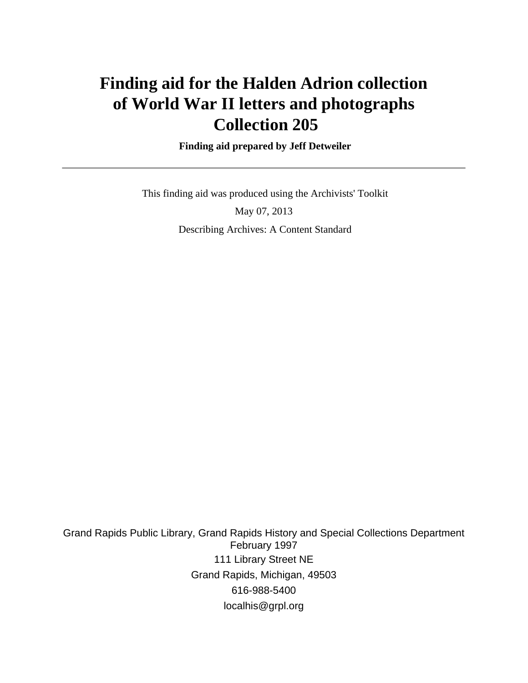# **Finding aid for the Halden Adrion collection of World War II letters and photographs Collection 205**

 **Finding aid prepared by Jeff Detweiler**

 This finding aid was produced using the Archivists' Toolkit May 07, 2013 Describing Archives: A Content Standard

Grand Rapids Public Library, Grand Rapids History and Special Collections Department February 1997 111 Library Street NE Grand Rapids, Michigan, 49503 616-988-5400 localhis@grpl.org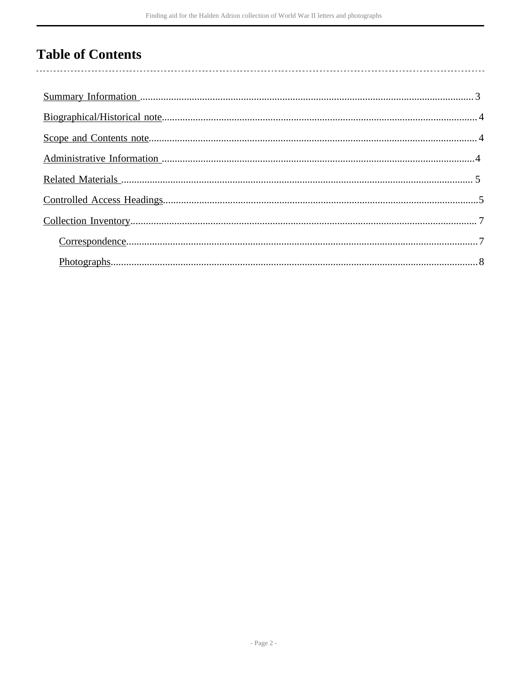# **Table of Contents**

 $\overline{\phantom{a}}$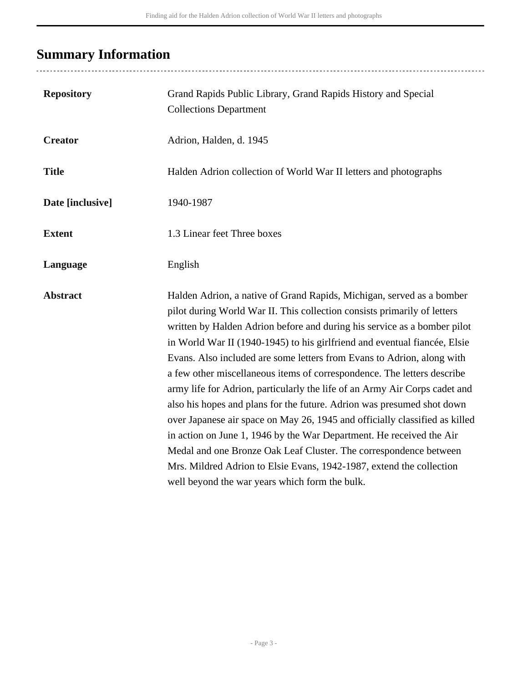# <span id="page-2-0"></span>**Summary Information**

| <b>Repository</b> | Grand Rapids Public Library, Grand Rapids History and Special<br><b>Collections Department</b>                                                                                                                                                                                                                                                                                                                                                                                                                                                                                                                                                                                                                                                                                                                                                                                                                                                                                |
|-------------------|-------------------------------------------------------------------------------------------------------------------------------------------------------------------------------------------------------------------------------------------------------------------------------------------------------------------------------------------------------------------------------------------------------------------------------------------------------------------------------------------------------------------------------------------------------------------------------------------------------------------------------------------------------------------------------------------------------------------------------------------------------------------------------------------------------------------------------------------------------------------------------------------------------------------------------------------------------------------------------|
| <b>Creator</b>    | Adrion, Halden, d. 1945                                                                                                                                                                                                                                                                                                                                                                                                                                                                                                                                                                                                                                                                                                                                                                                                                                                                                                                                                       |
| <b>Title</b>      | Halden Adrion collection of World War II letters and photographs                                                                                                                                                                                                                                                                                                                                                                                                                                                                                                                                                                                                                                                                                                                                                                                                                                                                                                              |
| Date [inclusive]  | 1940-1987                                                                                                                                                                                                                                                                                                                                                                                                                                                                                                                                                                                                                                                                                                                                                                                                                                                                                                                                                                     |
| <b>Extent</b>     | 1.3 Linear feet Three boxes                                                                                                                                                                                                                                                                                                                                                                                                                                                                                                                                                                                                                                                                                                                                                                                                                                                                                                                                                   |
| Language          | English                                                                                                                                                                                                                                                                                                                                                                                                                                                                                                                                                                                                                                                                                                                                                                                                                                                                                                                                                                       |
| <b>Abstract</b>   | Halden Adrion, a native of Grand Rapids, Michigan, served as a bomber<br>pilot during World War II. This collection consists primarily of letters<br>written by Halden Adrion before and during his service as a bomber pilot<br>in World War II (1940-1945) to his girlfriend and eventual fiancée, Elsie<br>Evans. Also included are some letters from Evans to Adrion, along with<br>a few other miscellaneous items of correspondence. The letters describe<br>army life for Adrion, particularly the life of an Army Air Corps cadet and<br>also his hopes and plans for the future. Adrion was presumed shot down<br>over Japanese air space on May 26, 1945 and officially classified as killed<br>in action on June 1, 1946 by the War Department. He received the Air<br>Medal and one Bronze Oak Leaf Cluster. The correspondence between<br>Mrs. Mildred Adrion to Elsie Evans, 1942-1987, extend the collection<br>well beyond the war years which form the bulk. |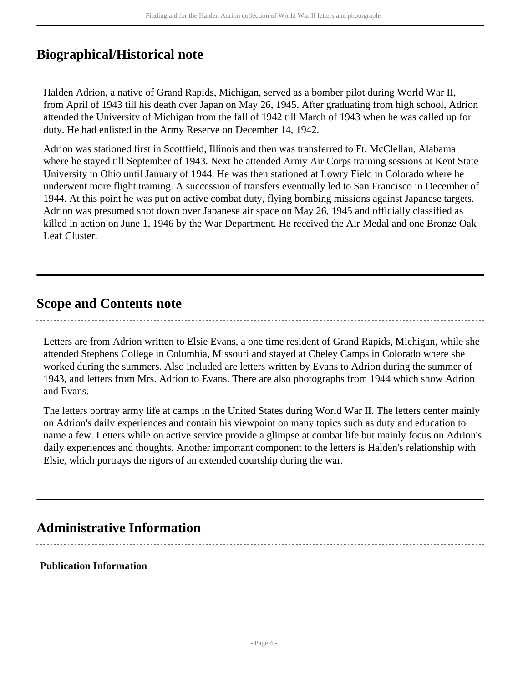## <span id="page-3-0"></span>**Biographical/Historical note**

Halden Adrion, a native of Grand Rapids, Michigan, served as a bomber pilot during World War II, from April of 1943 till his death over Japan on May 26, 1945. After graduating from high school, Adrion attended the University of Michigan from the fall of 1942 till March of 1943 when he was called up for duty. He had enlisted in the Army Reserve on December 14, 1942.

Adrion was stationed first in Scottfield, Illinois and then was transferred to Ft. McClellan, Alabama where he stayed till September of 1943. Next he attended Army Air Corps training sessions at Kent State University in Ohio until January of 1944. He was then stationed at Lowry Field in Colorado where he underwent more flight training. A succession of transfers eventually led to San Francisco in December of 1944. At this point he was put on active combat duty, flying bombing missions against Japanese targets. Adrion was presumed shot down over Japanese air space on May 26, 1945 and officially classified as killed in action on June 1, 1946 by the War Department. He received the Air Medal and one Bronze Oak Leaf Cluster.

### <span id="page-3-1"></span>**Scope and Contents note**

Letters are from Adrion written to Elsie Evans, a one time resident of Grand Rapids, Michigan, while she attended Stephens College in Columbia, Missouri and stayed at Cheley Camps in Colorado where she worked during the summers. Also included are letters written by Evans to Adrion during the summer of 1943, and letters from Mrs. Adrion to Evans. There are also photographs from 1944 which show Adrion and Evans.

The letters portray army life at camps in the United States during World War II. The letters center mainly on Adrion's daily experiences and contain his viewpoint on many topics such as duty and education to name a few. Letters while on active service provide a glimpse at combat life but mainly focus on Adrion's daily experiences and thoughts. Another important component to the letters is Halden's relationship with Elsie, which portrays the rigors of an extended courtship during the war.

## <span id="page-3-2"></span>**Administrative Information**

**Publication Information**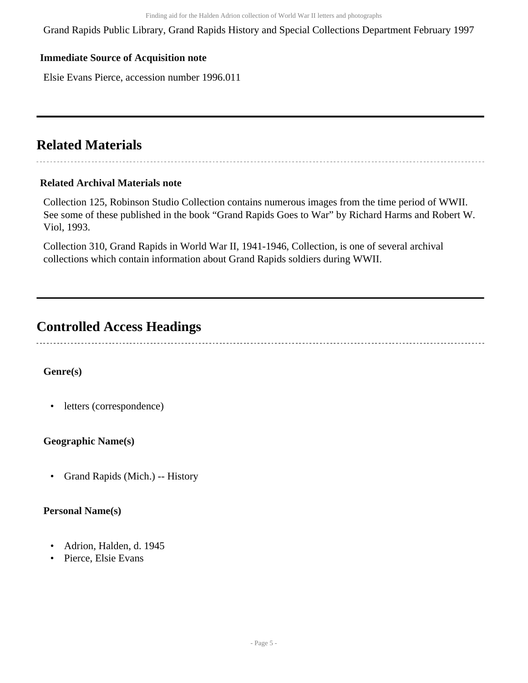Grand Rapids Public Library, Grand Rapids History and Special Collections Department February 1997

#### **Immediate Source of Acquisition note**

Elsie Evans Pierce, accession number 1996.011

## <span id="page-4-0"></span>**Related Materials**

#### **Related Archival Materials note**

Collection 125, Robinson Studio Collection contains numerous images from the time period of WWII. See some of these published in the book "Grand Rapids Goes to War" by Richard Harms and Robert W. Viol, 1993.

Collection 310, Grand Rapids in World War II, 1941-1946, Collection, is one of several archival collections which contain information about Grand Rapids soldiers during WWII.

### <span id="page-4-1"></span>**Controlled Access Headings**

### **Genre(s)**

• letters (correspondence)

#### **Geographic Name(s)**

• Grand Rapids (Mich.) -- History

#### **Personal Name(s)**

- Adrion, Halden, d. 1945
- Pierce, Elsie Evans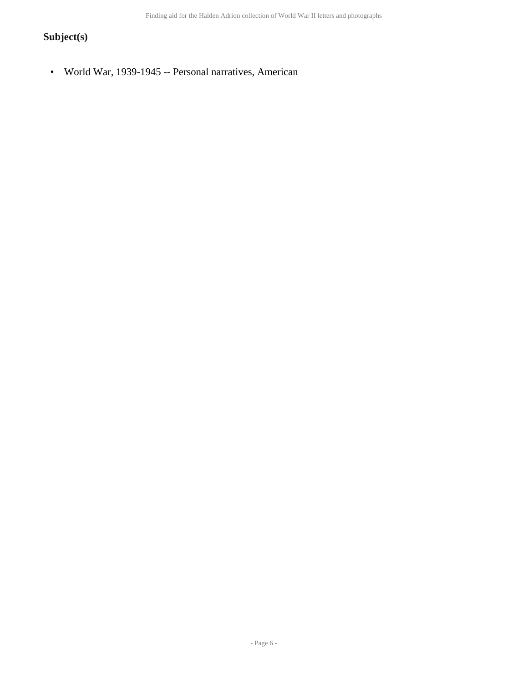Finding aid for the Halden Adrion collection of World War II letters and photographs

### **Subject(s)**

• World War, 1939-1945 -- Personal narratives, American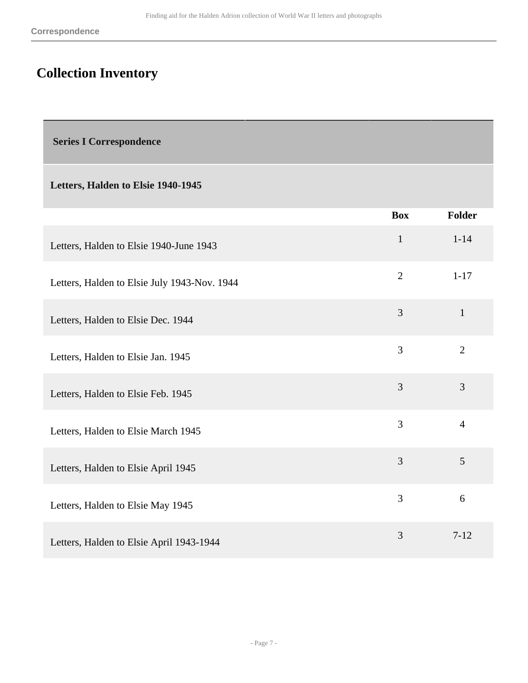# <span id="page-6-0"></span>**Collection Inventory**

<span id="page-6-1"></span> **Series I Correspondence** 

### **Letters, Halden to Elsie 1940-1945**

|                                              | <b>Box</b>     | <b>Folder</b>  |
|----------------------------------------------|----------------|----------------|
| Letters, Halden to Elsie 1940-June 1943      | $\mathbf{1}$   | $1 - 14$       |
| Letters, Halden to Elsie July 1943-Nov. 1944 | $\overline{2}$ | $1 - 17$       |
| Letters, Halden to Elsie Dec. 1944           | $\overline{3}$ | $\mathbf{1}$   |
| Letters, Halden to Elsie Jan. 1945           | 3              | $\overline{2}$ |
| Letters, Halden to Elsie Feb. 1945           | 3              | 3              |
| Letters, Halden to Elsie March 1945          | 3              | $\overline{4}$ |
| Letters, Halden to Elsie April 1945          | 3              | 5              |
| Letters, Halden to Elsie May 1945            | 3              | 6              |
| Letters, Halden to Elsie April 1943-1944     | 3              | $7 - 12$       |